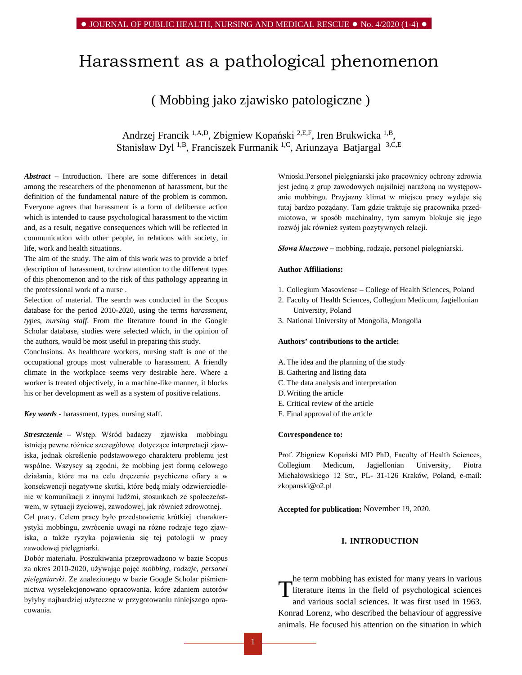# Harassment as a pathological phenomenon

## ( Mobbing jako zjawisko patologiczne )

Andrzej Francik 1,A,D, Zbigniew Kopański 2,E,F, Iren Brukwicka 1,B, Stanisław Dyl<sup>1,B</sup>, Franciszek Furmanik <sup>1,C</sup>, Ariunzaya Batjargal <sup>3, C,E</sup>

*Abstract –* Introduction. There are some differences in detail among the researchers of the phenomenon of harassment, but the definition of the fundamental nature of the problem is common. Everyone agrees that harassment is a form of deliberate action which is intended to cause psychological harassment to the victim and, as a result, negative consequences which will be reflected in communication with other people, in relations with society, in life, work and health situations.

The aim of the study. The aim of this work was to provide a brief description of harassment, to draw attention to the different types of this phenomenon and to the risk of this pathology appearing in the professional work of a nurse .

Selection of material. The search was conducted in the Scopus database for the period 2010-2020, using the terms *harassment, types, nursing staff*. From the literature found in the [Google](http://scholar.google.pl/)  [Scholar database,](http://scholar.google.pl/) studies were selected which, in the opinion of the authors, would be most useful in preparing this study.

Conclusions. As healthcare workers, nursing staff is one of the occupational groups most vulnerable to harassment. A friendly climate in the workplace seems very desirable here. Where a worker is treated objectively, in a machine-like manner, it blocks his or her development as well as a system of positive relations.

*Key words -* harassment, types, nursing staff.

*Streszczenie –* Wstęp. Wśród badaczy zjawiska mobbingu istnieją pewne różnice szczegółowe dotyczące interpretacji zjawiska, jednak określenie podstawowego charakteru problemu jest wspólne. Wszyscy są zgodni, że mobbing jest formą celowego działania, które ma na celu dręczenie psychiczne ofiary a w konsekwencji negatywne skutki, które będą miały odzwierciedlenie w komunikacji z innymi ludźmi, stosunkach ze społeczeństwem, w sytuacji życiowej, zawodowej, jak również zdrowotnej.

Cel pracy. Celem pracy było przedstawienie krótkiej charakterystyki mobbingu, zwrócenie uwagi na różne rodzaje tego zjawiska, a także ryzyka pojawienia się tej patologii w pracy zawodowej pielęgniarki.

Dobór materiału. Poszukiwania przeprowadzono w bazie Scopus za okres 2010-2020, używając pojęć *mobbing, rodzaje, personel pielęgniarski*. Ze znalezionego w bazie [Google Scholar](http://scholar.google.pl/) piśmiennictwa wyselekcjonowano opracowania, które zdaniem autorów byłyby najbardziej użyteczne w przygotowaniu niniejszego opracowania.

Wnioski.Personel pielęgniarski jako pracownicy ochrony zdrowia jest jedną z grup zawodowych najsilniej narażoną na występowanie mobbingu. Przyjazny klimat w miejscu pracy wydaje się tutaj bardzo pożądany. Tam gdzie traktuje się pracownika przedmiotowo, w sposób machinalny, tym samym blokuje się jego rozwój jak również system pozytywnych relacji.

*Słowa kluczowe –* mobbing, rodzaje, personel pielęgniarski.

#### **Author Affiliations:**

- 1. Collegium Masoviense College of Health Sciences, Poland
- 2. Faculty of Health Sciences, Collegium Medicum, Jagiellonian University, Poland
- 3. National University of Mongolia, Mongolia

#### **Authors' contributions to the article:**

- A.The idea and the planning of the study
- B. Gathering and listing data
- C. The data analysis and interpretation
- D.Writing the article
- E. Critical review of the article
- F. Final approval of the article

#### **Correspondence to:**

Prof. Zbigniew Kopański MD PhD, Faculty of Health Sciences, Collegium Medicum, Jagiellonian University, Piotra Michałowskiego 12 Str., PL- 31-126 Kraków, Poland, e-mail: [zkopanski@o2.pl](mailto:zkopanski@o2.pl)

**Accepted for publication:** November 19, 2020.

### **I. INTRODUCTION**

he term mobbing has existed for many years in various literature items in the field of psychological sciences and various social sciences. It was first used in 1963. Konrad Lorenz, who described the behaviour of aggressive animals. He focused his attention on the situation in which T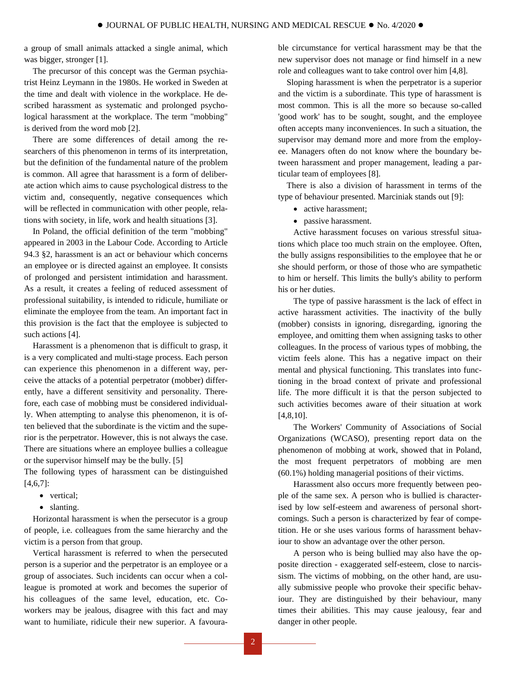a group of small animals attacked a single animal, which was bigger, stronger [1].

The precursor of this concept was the German psychiatrist Heinz Leymann in the 1980s. He worked in Sweden at the time and dealt with violence in the workplace. He described harassment as systematic and prolonged psychological harassment at the workplace. The term "mobbing" is derived from the word mob [2].

There are some differences of detail among the researchers of this phenomenon in terms of its interpretation, but the definition of the fundamental nature of the problem is common. All agree that harassment is a form of deliberate action which aims to cause psychological distress to the victim and, consequently, negative consequences which will be reflected in communication with other people, relations with society, in life, work and health situations [3].

In Poland, the official definition of the term "mobbing" appeared in 2003 in the Labour Code. According to Article 94.3 §2, harassment is an act or behaviour which concerns an employee or is directed against an employee. It consists of prolonged and persistent intimidation and harassment. As a result, it creates a feeling of reduced assessment of professional suitability, is intended to ridicule, humiliate or eliminate the employee from the team. An important fact in this provision is the fact that the employee is subjected to such actions [4].

Harassment is a phenomenon that is difficult to grasp, it is a very complicated and multi-stage process. Each person can experience this phenomenon in a different way, perceive the attacks of a potential perpetrator (mobber) differently, have a different sensitivity and personality. Therefore, each case of mobbing must be considered individually. When attempting to analyse this phenomenon, it is often believed that the subordinate is the victim and the superior is the perpetrator. However, this is not always the case. There are situations where an employee bullies a colleague or the supervisor himself may be the bully. [5]

The following types of harassment can be distinguished [4,6,7]:

- vertical;
- slanting.

Horizontal harassment is when the persecutor is a group of people, i.e. colleagues from the same hierarchy and the victim is a person from that group.

Vertical harassment is referred to when the persecuted person is a superior and the perpetrator is an employee or a group of associates. Such incidents can occur when a colleague is promoted at work and becomes the superior of his colleagues of the same level, education, etc. Coworkers may be jealous, disagree with this fact and may want to humiliate, ridicule their new superior. A favourable circumstance for vertical harassment may be that the new supervisor does not manage or find himself in a new role and colleagues want to take control over him [4,8].

Sloping harassment is when the perpetrator is a superior and the victim is a subordinate. This type of harassment is most common. This is all the more so because so-called 'good work' has to be sought, sought, and the employee often accepts many inconveniences. In such a situation, the supervisor may demand more and more from the employee. Managers often do not know where the boundary between harassment and proper management, leading a particular team of employees [8].

There is also a division of harassment in terms of the type of behaviour presented. Marciniak stands out [9]:

- active harassment;
- passive harassment.

Active harassment focuses on various stressful situations which place too much strain on the employee. Often, the bully assigns responsibilities to the employee that he or she should perform, or those of those who are sympathetic to him or herself. This limits the bully's ability to perform his or her duties.

The type of passive harassment is the lack of effect in active harassment activities. The inactivity of the bully (mobber) consists in ignoring, disregarding, ignoring the employee, and omitting them when assigning tasks to other colleagues. In the process of various types of mobbing, the victim feels alone. This has a negative impact on their mental and physical functioning. This translates into functioning in the broad context of private and professional life. The more difficult it is that the person subjected to such activities becomes aware of their situation at work [4,8,10].

The Workers' Community of Associations of Social Organizations (WCASO), presenting report data on the phenomenon of mobbing at work, showed that in Poland, the most frequent perpetrators of mobbing are men (60.1%) holding managerial positions of their victims.

Harassment also occurs more frequently between people of the same sex. A person who is bullied is characterised by low self-esteem and awareness of personal shortcomings. Such a person is characterized by fear of competition. He or she uses various forms of harassment behaviour to show an advantage over the other person.

A person who is being bullied may also have the opposite direction - exaggerated self-esteem, close to narcissism. The victims of mobbing, on the other hand, are usually submissive people who provoke their specific behaviour. They are distinguished by their behaviour, many times their abilities. This may cause jealousy, fear and danger in other people.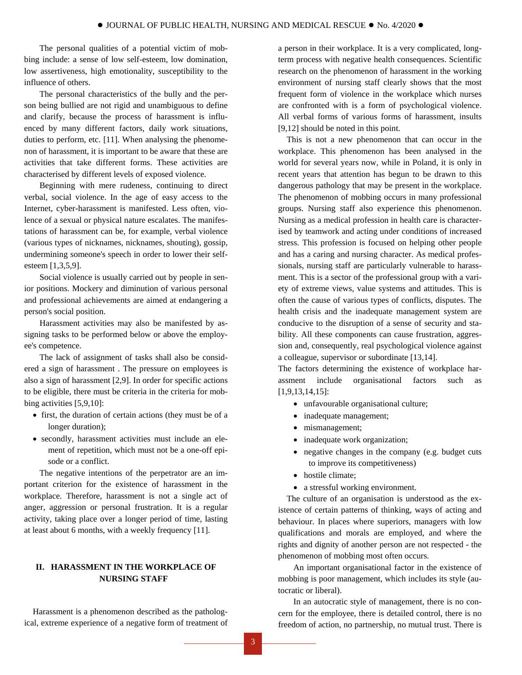The personal qualities of a potential victim of mobbing include: a sense of low self-esteem, low domination, low assertiveness, high emotionality, susceptibility to the influence of others.

The personal characteristics of the bully and the person being bullied are not rigid and unambiguous to define and clarify, because the process of harassment is influenced by many different factors, daily work situations, duties to perform, etc. [11]. When analysing the phenomenon of harassment, it is important to be aware that these are activities that take different forms. These activities are characterised by different levels of exposed violence.

Beginning with mere rudeness, continuing to direct verbal, social violence. In the age of easy access to the Internet, cyber-harassment is manifested. Less often, violence of a sexual or physical nature escalates. The manifestations of harassment can be, for example, verbal violence (various types of nicknames, nicknames, shouting), gossip, undermining someone's speech in order to lower their selfesteem [1,3,5,9].

Social violence is usually carried out by people in senior positions. Mockery and diminution of various personal and professional achievements are aimed at endangering a person's social position.

Harassment activities may also be manifested by assigning tasks to be performed below or above the employee's competence.

The lack of assignment of tasks shall also be considered a sign of harassment . The pressure on employees is also a sign of harassment [2,9]. In order for specific actions to be eligible, there must be criteria in the criteria for mobbing activities [5,9,10]:

- first, the duration of certain actions (they must be of a longer duration);
- secondly, harassment activities must include an element of repetition, which must not be a one-off episode or a conflict.

The negative intentions of the perpetrator are an important criterion for the existence of harassment in the workplace. Therefore, harassment is not a single act of anger, aggression or personal frustration. It is a regular activity, taking place over a longer period of time, lasting at least about 6 months, with a weekly frequency [11].

## **II. HARASSMENT IN THE WORKPLACE OF NURSING STAFF**

Harassment is a phenomenon described as the pathological, extreme experience of a negative form of treatment of a person in their workplace. It is a very complicated, longterm process with negative health consequences. Scientific research on the phenomenon of harassment in the working environment of nursing staff clearly shows that the most frequent form of violence in the workplace which nurses are confronted with is a form of psychological violence. All verbal forms of various forms of harassment, insults [9,12] should be noted in this point.

This is not a new phenomenon that can occur in the workplace. This phenomenon has been analysed in the world for several years now, while in Poland, it is only in recent years that attention has begun to be drawn to this dangerous pathology that may be present in the workplace. The phenomenon of mobbing occurs in many professional groups. Nursing staff also experience this phenomenon. Nursing as a medical profession in health care is characterised by teamwork and acting under conditions of increased stress. This profession is focused on helping other people and has a caring and nursing character. As medical professionals, nursing staff are particularly vulnerable to harassment. This is a sector of the professional group with a variety of extreme views, value systems and attitudes. This is often the cause of various types of conflicts, disputes. The health crisis and the inadequate management system are conducive to the disruption of a sense of security and stability. All these components can cause frustration, aggression and, consequently, real psychological violence against a colleague, supervisor or subordinate [13,14].

The factors determining the existence of workplace harassment include organisational factors such as [1,9,13,14,15]:

- unfavourable organisational culture;
- inadequate management;
- mismanagement;
- inadequate work organization;
- negative changes in the company (e.g. budget cuts to improve its competitiveness)
- hostile climate:
- a stressful working environment.

The culture of an organisation is understood as the existence of certain patterns of thinking, ways of acting and behaviour. In places where superiors, managers with low qualifications and morals are employed, and where the rights and dignity of another person are not respected - the phenomenon of mobbing most often occurs.

An important organisational factor in the existence of mobbing is poor management, which includes its style (autocratic or liberal).

In an autocratic style of management, there is no concern for the employee, there is detailed control, there is no freedom of action, no partnership, no mutual trust. There is